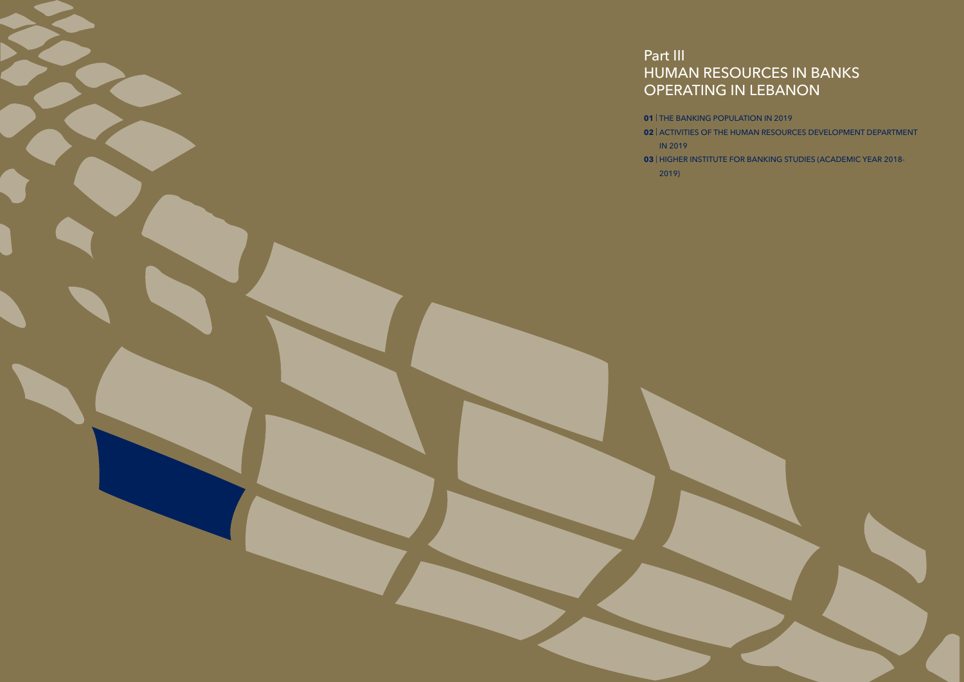# Part III

# HUMAN RESOURCES IN BANKS OPERATING IN LEBANON

**01** | THE BANKING POPULATION IN 2019

**02** | ACTIVITIES OF THE HUMAN RESOURCES DEVELOPMENT DEPARTMENT

IN 2019 2019)

**03** | HIGHER INSTITUTE FOR BANKING STUDIES (ACADEMIC YEAR 2018-

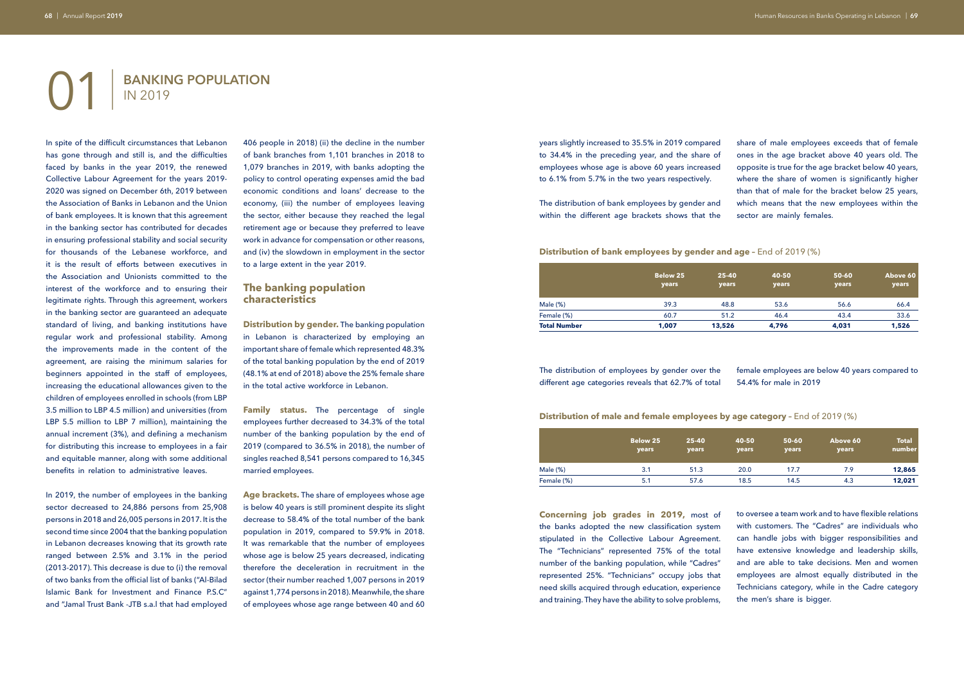# **BANKING POPULATION** IN 2019

In spite of the difficult circumstances that Lebanon has gone through and still is, and the difficulties faced by banks in the year 2019, the renewed Collective Labour Agreement for the years 2019- 2020 was signed on December 6th, 2019 between the Association of Banks in Lebanon and the Union of bank employees. It is known that this agreement in the banking sector has contributed for decades in ensuring professional stability and social security for thousands of the Lebanese workforce, and it is the result of efforts between executives in the Association and Unionists committed to the interest of the workforce and to ensuring their legitimate rights. Through this agreement, workers in the banking sector are guaranteed an adequate standard of living, and banking institutions have regular work and professional stability. Among the improvements made in the content of the agreement, are raising the minimum salaries for beginners appointed in the staff of employees, increasing the educational allowances given to the children of employees enrolled in schools (from LBP 3.5 million to LBP 4.5 million) and universities (from LBP 5.5 million to LBP 7 million), maintaining the annual increment (3%), and defining a mechanism for distributing this increase to employees in a fair and equitable manner, along with some additional benefits in relation to administrative leaves.

In 2019, the number of employees in the banking sector decreased to 24,886 persons from 25,908 persons in 2018 and 26,005 persons in 2017. It is the second time since 2004 that the banking population in Lebanon decreases knowing that its growth rate ranged between 2.5% and 3.1% in the period (2013-2017). This decrease is due to (i) the removal of two banks from the official list of banks ("Al-Bilad Islamic Bank for Investment and Finance P.S.C" and "Jamal Trust Bank -JTB s.a.l that had employed 406 people in 2018) (ii) the decline in the number of bank branches from 1,101 branches in 2018 to 1,079 branches in 2019, with banks adopting the policy to control operating expenses amid the bad economic conditions and loans' decrease to the economy, (iii) the number of employees leaving the sector, either because they reached the legal retirement age or because they preferred to leave work in advance for compensation or other reasons, and (iv) the slowdown in employment in the sector to a large extent in the year 2019.

#### **The banking population characteristics**

**Distribution by gender.** The banking population in Lebanon is characterized by employing an important share of female which represented 48.3% of the total banking population by the end of 2019 (48.1% at end of 2018) above the 25% female share in the total active workforce in Lebanon.

**Family status.** The percentage of single employees further decreased to 34.3% of the total number of the banking population by the end of 2019 (compared to 36.5% in 2018), the number of singles reached 8,541 persons compared to 16,345 married employees.

**Age brackets.** The share of employees whose age is below 40 years is still prominent despite its slight decrease to 58.4% of the total number of the bank population in 2019, compared to 59.9% in 2018. It was remarkable that the number of employees whose age is below 25 years decreased, indicating therefore the deceleration in recruitment in the sector (their number reached 1,007 persons in 2019 against 1,774 persons in 2018). Meanwhile, the share of employees whose age range between 40 and 60 years slightly increased to 35.5% in 2019 compared to 34.4% in the preceding year, and the share of employees whose age is above 60 years increased to 6.1% from 5.7% in the two years respectively.

The distribution of bank employees by gender and within the different age brackets shows that the

#### **Distribution of bank employees by gender and age - End of 2019 (%)**

The distribution of employees by gender over the different age categories reveals that 62.7% of total

#### **Distribution of male and female employees by age category - End of 2019 (%)**

**Concerning job grades in 2019,** most of the banks adopted the new classification system stipulated in the Collective Labour Agreement. The "Technicians" represented 75% of the total number of the banking population, while "Cadres" represented 25%. "Technicians" occupy jobs that need skills acquired through education, experience and training. They have the ability to solve problems,

share of male employees exceeds that of female ones in the age bracket above 40 years old. The opposite is true for the age bracket below 40 years, where the share of women is significantly higher than that of male for the bracket below 25 years, which means that the new employees within the sector are mainly females.

female employees are below 40 years compared to 54.4% for male in 2019

to oversee a team work and to have flexible relations with customers. The "Cadres" are individuals who can handle jobs with bigger responsibilities and have extensive knowledge and leadership skills, and are able to take decisions. Men and women employees are almost equally distributed in the Technicians category, while in the Cadre category the men's share is bigger.

|                     | <b>Below 25</b><br>years | $25 - 40$<br>years | 40-50<br>years | 50-60<br>years | Above 60<br>years |
|---------------------|--------------------------|--------------------|----------------|----------------|-------------------|
| Male (%)            | 39.3                     | 48.8               | 53.6           | 56.6           | 66.4              |
| Female (%)          | 60.7                     | 51.2               | 46.4           | 43.4           | 33.6              |
| <b>Total Number</b> | 1,007                    | 13,526             | 4.796          | 4,031          | 1,526             |

|            | <b>Below 25</b><br>years | 25-40<br>years | 40-50<br>years | 50-60<br>years | Above 60<br>years | <b>Total</b><br>number |
|------------|--------------------------|----------------|----------------|----------------|-------------------|------------------------|
| Male (%)   | 3.1                      | 51.3           | 20.0           | 17.7           | 7.9               | 12,865                 |
| Female (%) | 5.1                      | 57.6           | 18.5           | 14.5           | 4.3               | 12,021                 |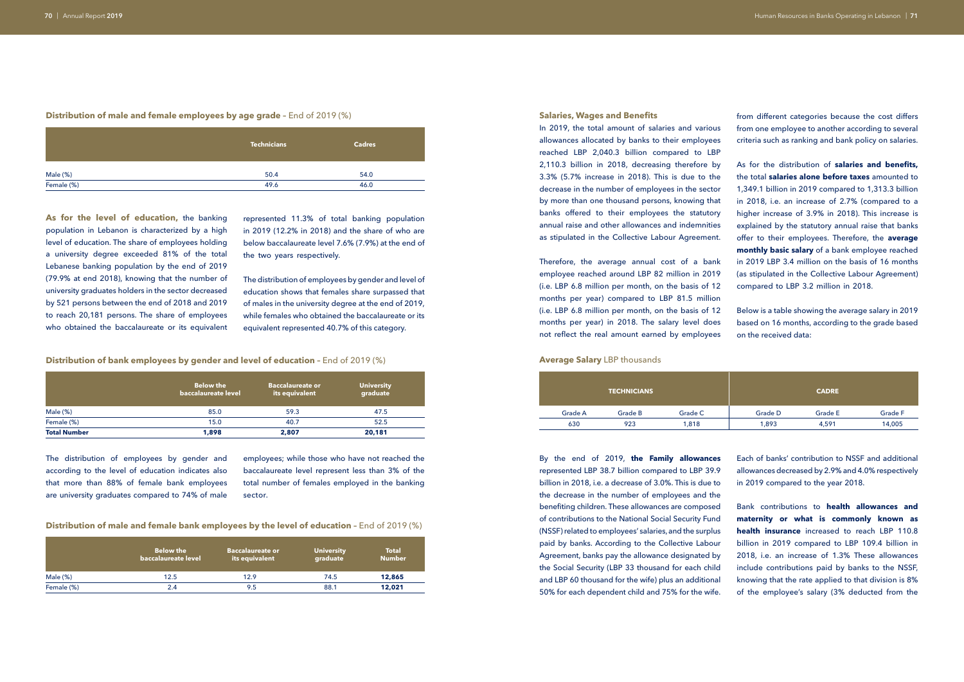#### **Distribution of male and female employees by age grade - End of 2019 (%)**

|            | <b>Technicians</b> | <b>Cadres</b> |  |
|------------|--------------------|---------------|--|
| Male (%)   | 50.4               | 54.0          |  |
| Female (%) | 49.6               | 46.0          |  |

|                     | <b>Below the</b><br>baccalaureate level | <b>Baccalaureate or</b><br>its equivalent | <b>University</b><br>graduate |  |  |
|---------------------|-----------------------------------------|-------------------------------------------|-------------------------------|--|--|
| Male $(\%)$         | 85.0                                    | 59.3                                      | 47.5                          |  |  |
| Female (%)          | 15.0                                    | 40.7                                      | 52.5                          |  |  |
| <b>Total Number</b> | 1,898                                   | 2,807                                     | 20,181                        |  |  |

|            | <b>Below the</b><br>baccalaureate level | ' Baccalaureate or :<br>its equivalent | <b>University</b><br>graduate | <b>Total</b><br><b>Number</b> |
|------------|-----------------------------------------|----------------------------------------|-------------------------------|-------------------------------|
| Male (%)   | 12.5                                    | 12.9                                   | 74.5                          | 12,865                        |
| Female (%) | 2.4                                     | 9.5                                    | 88.1                          | 12,021                        |

**As for the level of education,** the banking population in Lebanon is characterized by a high level of education. The share of employees holding a university degree exceeded 81% of the total Lebanese banking population by the end of 2019 (79.9% at end 2018), knowing that the number of university graduates holders in the sector decreased by 521 persons between the end of 2018 and 2019 to reach 20,181 persons. The share of employees who obtained the baccalaureate or its equivalent

represented 11.3% of total banking population in 2019 (12.2% in 2018) and the share of who are below baccalaureate level 7.6% (7.9%) at the end of the two years respectively.

The distribution of employees by gender and level of education shows that females share surpassed that of males in the university degree at the end of 2019, while females who obtained the baccalaureate or its equivalent represented 40.7% of this category.

#### **Distribution of bank employees by gender and level of education - End of 2019 (%)**

The distribution of employees by gender and according to the level of education indicates also that more than 88% of female bank employees are university graduates compared to 74% of male

By the end of 2019, **the Family allowances**  represented LBP 38.7 billion compared to LBP 39.9 billion in 2018, i.e. a decrease of 3.0%. This is due to the decrease in the number of employees and the benefiting children. These allowances are composed of contributions to the National Social Security Fund (NSSF) related to employees' salaries, and the surplus paid by banks. According to the Collective Labour Agreement, banks pay the allowance designated by the Social Security (LBP 33 thousand for each child and LBP 60 thousand for the wife) plus an additional 50% for each dependent child and 75% for the wife.

#### **Salaries, Wages and Benefits**

In 2019, the total amount of salaries and various allowances allocated by banks to their employees reached LBP 2,040.3 billion compared to LBP 2,110.3 billion in 2018, decreasing therefore by 3.3% (5.7% increase in 2018). This is due to the decrease in the number of employees in the sector by more than one thousand persons, knowing that banks offered to their employees the statutory annual raise and other allowances and indemnities as stipulated in the Collective Labour Agreement.

Therefore, the average annual cost of a bank employee reached around LBP 82 million in 2019 (i.e. LBP 6.8 million per month, on the basis of 12 months per year) compared to LBP 81.5 million (i.e. LBP 6.8 million per month, on the basis of 12 months per year) in 2018. The salary level does not reflect the real amount earned by employees

employees; while those who have not reached the baccalaureate level represent less than 3% of the total number of females employed in the banking sector.

**Distribution of male and female bank employees by the level of education - End of 2019 (%)** 

Each of banks' contribution to NSSF and additional allowances decreased by 2.9% and 4.0% respectively in 2019 compared to the year 2018.

Bank contributions to **health allowances and maternity or what is commonly known as health insurance** increased to reach LBP 110.8 billion in 2019 compared to LBP 109.4 billion in 2018, i.e. an increase of 1.3% These allowances include contributions paid by banks to the NSSF, knowing that the rate applied to that division is 8% of the employee's salary (3% deducted from the

from different categories because the cost differs from one employee to another according to several criteria such as ranking and bank policy on salaries.

As for the distribution of **salaries and benefits,**  the total **salaries alone before taxes** amounted to 1,349.1 billion in 2019 compared to 1,313.3 billion in 2018, i.e. an increase of 2.7% (compared to a higher increase of 3.9% in 2018). This increase is explained by the statutory annual raise that banks offer to their employees. Therefore, the **average monthly basic salary** of a bank employee reached in 2019 LBP 3.4 million on the basis of 16 months (as stipulated in the Collective Labour Agreement) compared to LBP 3.2 million in 2018.

Below is a table showing the average salary in 2019 based on 16 months, according to the grade based on the received data:

**Average Salary** LBP thousands

|         | <b>TECHNICIANS</b> |         |         | <b>CADRE</b> |                |
|---------|--------------------|---------|---------|--------------|----------------|
| Grade A | Grade B            | Grade C | Grade D | Grade E      | <b>Grade F</b> |
| 630     | 923                | 1,818   | 1,893   | 4,591        | 14,005         |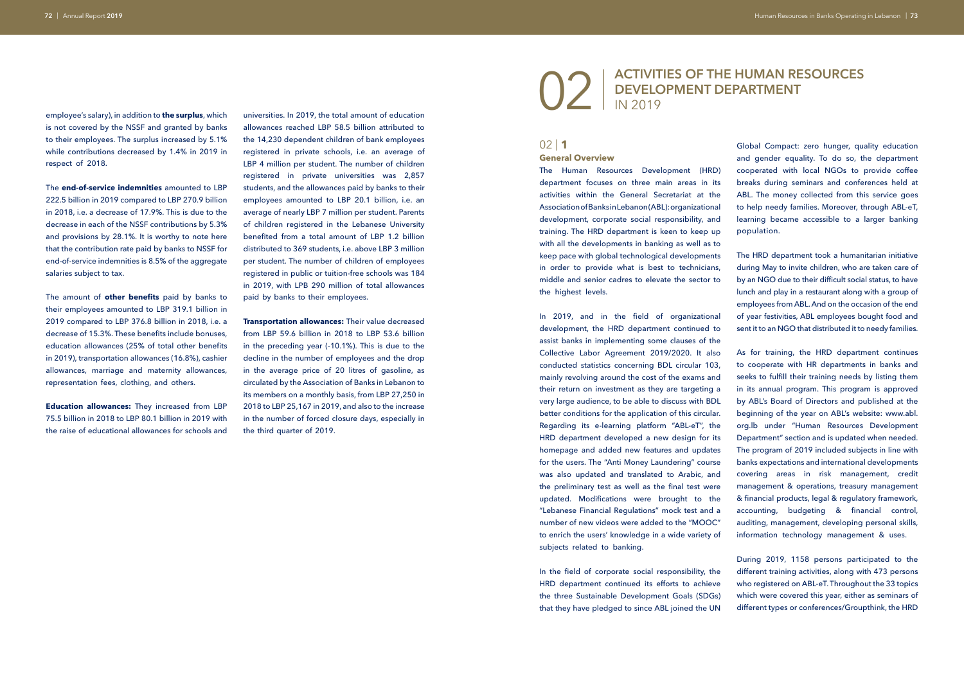employee's salary), in addition to **the surplus**, which is not covered by the NSSF and granted by banks to their employees. The surplus increased by 5.1% while contributions decreased by 1.4% in 2019 in respect of 2018.

The **end-of-service indemnities** amounted to LBP 222.5 billion in 2019 compared to LBP 270.9 billion in 2018, i.e. a decrease of 17.9%. This is due to the decrease in each of the NSSF contributions by 5.3% and provisions by 28.1%. It is worthy to note here that the contribution rate paid by banks to NSSF for end-of-service indemnities is 8.5% of the aggregate salaries subject to tax.

The amount of **other benefits** paid by banks to their employees amounted to LBP 319.1 billion in 2019 compared to LBP 376.8 billion in 2018, i.e. a decrease of 15.3%. These benefits include bonuses, education allowances (25% of total other benefits in 2019), transportation allowances (16.8%), cashier allowances, marriage and maternity allowances, representation fees, clothing, and others.

**Education allowances:** They increased from LBP 75.5 billion in 2018 to LBP 80.1 billion in 2019 with the raise of educational allowances for schools and

universities. In 2019, the total amount of education allowances reached LBP 58.5 billion attributed to the 14,230 dependent children of bank employees registered in private schools, i.e. an average of LBP 4 million per student. The number of children registered in private universities was 2,857 students, and the allowances paid by banks to their employees amounted to LBP 20.1 billion, i.e. an average of nearly LBP 7 million per student. Parents of children registered in the Lebanese University benefited from a total amount of LBP 1.2 billion distributed to 369 students, i.e. above LBP 3 million per student. The number of children of employees registered in public or tuition-free schools was 184 in 2019, with LPB 290 million of total allowances paid by banks to their employees.

**Transportation allowances:** Their value decreased from LBP 59.6 billion in 2018 to LBP 53.6 billion in the preceding year (-10.1%). This is due to the decline in the number of employees and the drop in the average price of 20 litres of gasoline, as circulated by the Association of Banks in Lebanon to its members on a monthly basis, from LBP 27,250 in 2018 to LBP 25,167 in 2019, and also to the increase in the number of forced closure days, especially in the third quarter of 2019.

# **ACTIVITIES OF THE HUMAN RESOURCES**

02 | **DEVELOPMENT DEPARTMENT** IN 2019

#### $02$  | 1

#### **General Overview**

The Human Resources Development (HRD) department focuses on three main areas in its activities within the General Secretariat at the Association of Banks in Lebanon (ABL): organizational development, corporate social responsibility, and training. The HRD department is keen to keep up with all the developments in banking as well as to keep pace with global technological developments in order to provide what is best to technicians, middle and senior cadres to elevate the sector to the highest levels.

In 2019, and in the field of organizational development, the HRD department continued to assist banks in implementing some clauses of the Collective Labor Agreement 2019/2020. It also conducted statistics concerning BDL circular 103, mainly revolving around the cost of the exams and their return on investment as they are targeting a very large audience, to be able to discuss with BDL better conditions for the application of this circular. Regarding its e-learning platform "ABL-eT", the HRD department developed a new design for its homepage and added new features and updates for the users. The "Anti Money Laundering" course was also updated and translated to Arabic, and the preliminary test as well as the final test were updated. Modifications were brought to the "Lebanese Financial Regulations" mock test and a number of new videos were added to the "MOOC" to enrich the users' knowledge in a wide variety of subjects related to banking.

In the field of corporate social responsibility, the HRD department continued its efforts to achieve the three Sustainable Development Goals (SDGs) that they have pledged to since ABL joined the UN Global Compact: zero hunger, quality education and gender equality. To do so, the department cooperated with local NGOs to provide coffee breaks during seminars and conferences held at ABL. The money collected from this service goes to help needy families. Moreover, through ABL-eT, learning became accessible to a larger banking population.

The HRD department took a humanitarian initiative during May to invite children, who are taken care of by an NGO due to their difficult social status, to have lunch and play in a restaurant along with a group of employees from ABL. And on the occasion of the end of year festivities, ABL employees bought food and sent it to an NGO that distributed it to needy families.

As for training, the HRD department continues to cooperate with HR departments in banks and seeks to fulfill their training needs by listing them in its annual program. This program is approved by ABL's Board of Directors and published at the beginning of the year on ABL's website: www.abl. org.lb under "Human Resources Development Department" section and is updated when needed. The program of 2019 included subjects in line with banks expectations and international developments covering areas in risk management, credit management & operations, treasury management & financial products, legal & regulatory framework, accounting, budgeting & financial control, auditing, management, developing personal skills, information technology management & uses.

During 2019, 1158 persons participated to the different training activities, along with 473 persons who registered on ABL-eT. Throughout the 33 topics which were covered this year, either as seminars of different types or conferences/Groupthink, the HRD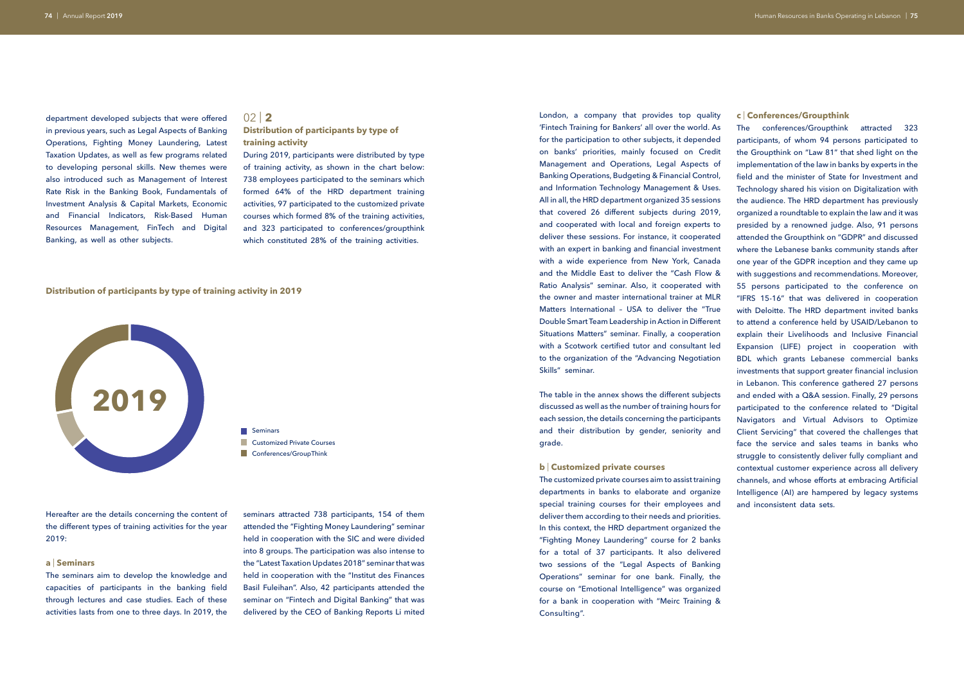department developed subjects that were offered in previous years, such as Legal Aspects of Banking Operations, Fighting Money Laundering, Latest Taxation Updates, as well as few programs related to developing personal skills. New themes were also introduced such as Management of Interest Rate Risk in the Banking Book, Fundamentals of Investment Analysis & Capital Markets, Economic and Financial Indicators, Risk-Based Human Resources Management, FinTech and Digital Banking, as well as other subjects.

Hereafter are the details concerning the content of the different types of training activities for the year 2019:

#### **a** | **Seminars**

The seminars aim to develop the knowledge and capacities of participants in the banking field through lectures and case studies. Each of these activities lasts from one to three days. In 2019, the

#### 02 | **2**

**Distribution of participants by type of training activity**

During 2019, participants were distributed by type of training activity, as shown in the chart below: 738 employees participated to the seminars which formed 64% of the HRD department training activities, 97 participated to the customized private courses which formed 8% of the training activities, and 323 participated to conferences/groupthink which constituted 28% of the training activities.

#### **Distribution of participants by type of training activity in 2019**



**Seminars Customized Private Courses** Conferences/GroupThink

seminars attracted 738 participants, 154 of them attended the "Fighting Money Laundering" seminar held in cooperation with the SIC and were divided into 8 groups. The participation was also intense to the "Latest Taxation Updates 2018" seminar that was held in cooperation with the "Institut des Finances Basil Fuleihan". Also, 42 participants attended the seminar on "Fintech and Digital Banking" that was delivered by the CEO of Banking Reports Li mited

London, a company that provides top quality 'Fintech Training for Bankers' all over the world. As for the participation to other subjects, it depended on banks' priorities, mainly focused on Credit Management and Operations, Legal Aspects of Banking Operations, Budgeting & Financial Control, and Information Technology Management & Uses. All in all, the HRD department organized 35 sessions that covered 26 different subjects during 2019, and cooperated with local and foreign experts to deliver these sessions. For instance, it cooperated with an expert in banking and financial investment with a wide experience from New York, Canada and the Middle East to deliver the "Cash Flow & Ratio Analysis" seminar. Also, it cooperated with the owner and master international trainer at MLR Matters International – USA to deliver the "True Double Smart Team Leadership in Action in Different Situations Matters" seminar. Finally, a cooperation with a Scotwork certified tutor and consultant led to the organization of the "Advancing Negotiation Skills" seminar.

The table in the annex shows the different subjects discussed as well as the number of training hours for each session, the details concerning the participants and their distribution by gender, seniority and grade.

#### **b** | **Customized private courses**

The customized private courses aim to assist training departments in banks to elaborate and organize special training courses for their employees and deliver them according to their needs and priorities. In this context, the HRD department organized the "Fighting Money Laundering" course for 2 banks for a total of 37 participants. It also delivered two sessions of the "Legal Aspects of Banking Operations" seminar for one bank. Finally, the course on "Emotional Intelligence" was organized for a bank in cooperation with "Meirc Training & Consulting".

#### **c** | **Conferences/Groupthink**

The conferences/Groupthink attracted 323 participants, of whom 94 persons participated to the Groupthink on "Law 81" that shed light on the implementation of the law in banks by experts in the field and the minister of State for Investment and Technology shared his vision on Digitalization with the audience. The HRD department has previously organized a roundtable to explain the law and it was presided by a renowned judge. Also, 91 persons attended the Groupthink on "GDPR" and discussed where the Lebanese banks community stands after one year of the GDPR inception and they came up with suggestions and recommendations. Moreover, 55 persons participated to the conference on "IFRS 15-16" that was delivered in cooperation with Deloitte. The HRD department invited banks to attend a conference held by USAID/Lebanon to explain their Livelihoods and Inclusive Financial Expansion (LIFE) project in cooperation with BDL which grants Lebanese commercial banks investments that support greater financial inclusion in Lebanon. This conference gathered 27 persons and ended with a Q&A session. Finally, 29 persons participated to the conference related to "Digital Navigators and Virtual Advisors to Optimize Client Servicing" that covered the challenges that face the service and sales teams in banks who struggle to consistently deliver fully compliant and contextual customer experience across all delivery channels, and whose efforts at embracing Artificial Intelligence (AI) are hampered by legacy systems and inconsistent data sets.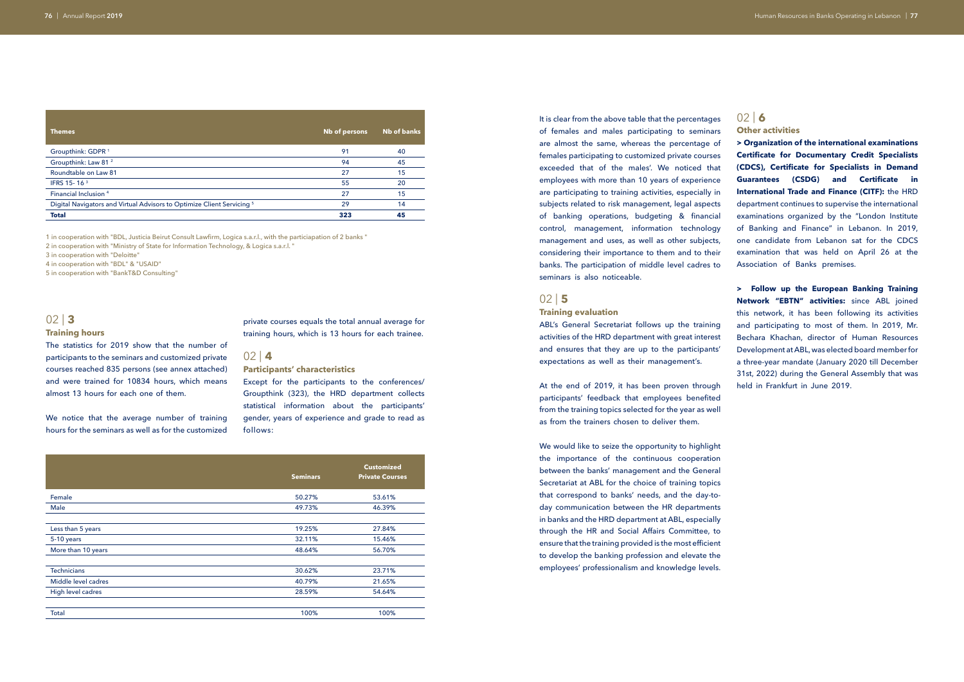| <b>Themes</b>                                                                     | <b>Nb of persons</b> | <b>Nb of banks</b> |
|-----------------------------------------------------------------------------------|----------------------|--------------------|
| Groupthink: GDPR <sup>1</sup>                                                     | 91                   | 40                 |
| Groupthink: Law 81 <sup>2</sup>                                                   | 94                   | 45                 |
| Roundtable on Law 81                                                              | 27                   | 15                 |
| IFRS 15-16 <sup>3</sup>                                                           | 55                   | 20                 |
| Financial Inclusion <sup>4</sup>                                                  | 27                   | 15                 |
| Digital Navigators and Virtual Advisors to Optimize Client Servicing <sup>5</sup> | 29                   | 14                 |
| <b>Total</b>                                                                      | 323                  | 45                 |

|                     | <b>Seminars</b> | <b>Customized</b><br><b>Private Courses</b> |
|---------------------|-----------------|---------------------------------------------|
| Female              | 50.27%          | 53.61%                                      |
| Male                | 49.73%          | 46.39%                                      |
|                     |                 |                                             |
| Less than 5 years   | 19.25%          | 27.84%                                      |
| 5-10 years          | 32.11%          | 15.46%                                      |
| More than 10 years  | 48.64%          | 56.70%                                      |
|                     |                 |                                             |
| <b>Technicians</b>  | 30.62%          | 23.71%                                      |
| Middle level cadres | 40.79%          | 21.65%                                      |
| High level cadres   | 28.59%          | 54.64%                                      |
|                     |                 |                                             |
| <b>Total</b>        | 100%            | 100%                                        |

1 in cooperation with "BDL, Justicia Beirut Consult Lawfirm, Logica s.a.r.l., with the particiapation of 2 banks "

2 in cooperation with "Ministry of State for Information Technology, & Logica s.a.r.l. "

3 in cooperation with "Deloitte"

4 in cooperation with "BDL" & "USAID"

5 in cooperation with "BankT&D Consulting"

#### 02 | **3**

#### **Training hours**

The statistics for 2019 show that the number of participants to the seminars and customized private courses reached 835 persons (see annex attached) and were trained for 10834 hours, which means almost 13 hours for each one of them.

We notice that the average number of training hours for the seminars as well as for the customized private courses equals the total annual average for training hours, which is 13 hours for each trainee.

#### $02 | 4$

**Participants' characteristics**

Except for the participants to the conferences/ Groupthink (323), the HRD department collects statistical information about the participants' gender, years of experience and grade to read as follows:

It is clear from the above table that the percentages of females and males participating to seminars are almost the same, whereas the percentage of females participating to customized private courses exceeded that of the males'. We noticed that employees with more than 10 years of experience are participating to training activities, especially in subjects related to risk management, legal aspects of banking operations, budgeting & financial control, management, information technology management and uses, as well as other subjects, considering their importance to them and to their banks. The participation of middle level cadres to seminars is also noticeable.

#### 02 | **5**

#### **Training evaluation**

ABL's General Secretariat follows up the training activities of the HRD department with great interest and ensures that they are up to the participants' expectations as well as their management's.

At the end of 2019, it has been proven through participants' feedback that employees benefited from the training topics selected for the year as well as from the trainers chosen to deliver them.

We would like to seize the opportunity to highlight the importance of the continuous cooperation between the banks' management and the General Secretariat at ABL for the choice of training topics that correspond to banks' needs, and the day-today communication between the HR departments in banks and the HRD department at ABL, especially through the HR and Social Affairs Committee, to ensure that the training provided is the most efficient to develop the banking profession and elevate the employees' professionalism and knowledge levels.

## 02 | **6**

#### **Other activities**

**> Organization of the international examinations Certificate for Documentary Credit Specialists (CDCS), Certificate for Specialists in Demand Guarantees (CSDG) and Certificate in International Trade and Finance (CITF):** the HRD department continues to supervise the international examinations organized by the "London Institute of Banking and Finance" in Lebanon. In 2019, one candidate from Lebanon sat for the CDCS examination that was held on April 26 at the Association of Banks premises.

**> Follow up the European Banking Training Network "EBTN" activities:** since ABL joined this network, it has been following its activities and participating to most of them. In 2019, Mr. Bechara Khachan, director of Human Resources Development at ABL, was elected board member for a three-year mandate (January 2020 till December 31st, 2022) during the General Assembly that was held in Frankfurt in June 2019.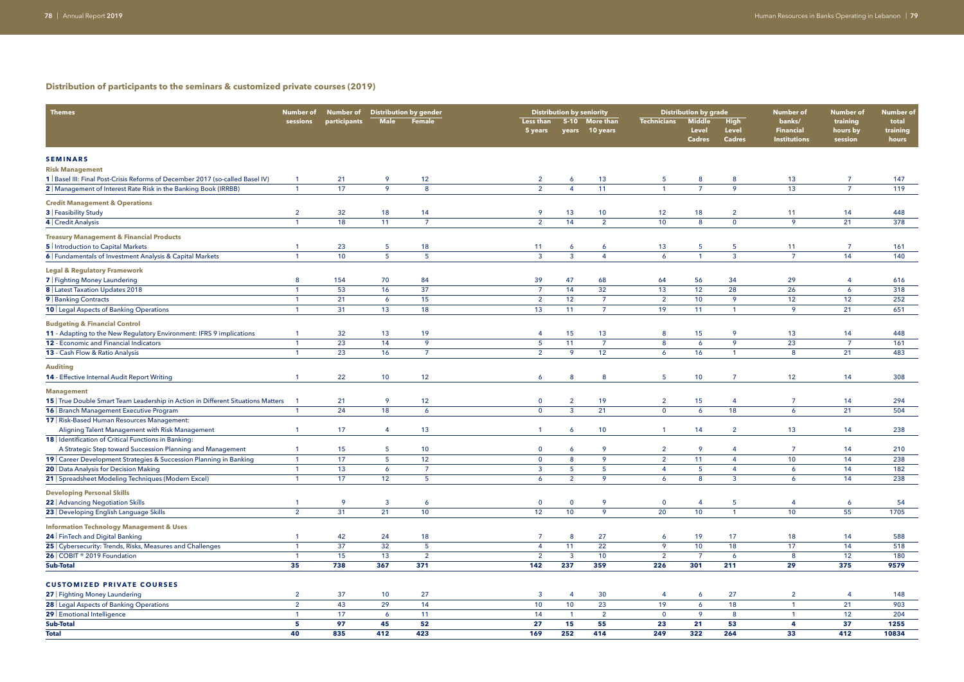| <b>Themes</b>                                                                  | Number of                        | Number of       |                 | <b>Distribution by gender</b> |                      |                 | <b>Distribution by seniority</b> |                    | <b>Distribution by grade</b>                   |                                              | <b>Number of</b>                                  | <b>Number of</b>                | Number of                  |
|--------------------------------------------------------------------------------|----------------------------------|-----------------|-----------------|-------------------------------|----------------------|-----------------|----------------------------------|--------------------|------------------------------------------------|----------------------------------------------|---------------------------------------------------|---------------------------------|----------------------------|
|                                                                                | sessions                         | participants    | <b>Male</b>     | <b>Female</b>                 | Less than<br>5 years | $5-10$<br>years | <b>More than</b><br>10 years     | <b>Technicians</b> | <b>Middle</b><br><b>Level</b><br><b>Cadres</b> | <b>High</b><br><b>Level</b><br><b>Cadres</b> | banks/<br><b>Financial</b><br><b>Institutions</b> | training<br>hours by<br>session | total<br>training<br>hours |
|                                                                                |                                  |                 |                 |                               |                      |                 |                                  |                    |                                                |                                              |                                                   |                                 |                            |
| <b>SEMINARS</b>                                                                |                                  |                 |                 |                               |                      |                 |                                  |                    |                                                |                                              |                                                   |                                 |                            |
| <b>Risk Management</b>                                                         |                                  |                 |                 |                               |                      |                 |                                  |                    |                                                |                                              |                                                   |                                 |                            |
| 1   Basel III: Final Post-Crisis Reforms of December 2017 (so-called Basel IV) | $\overline{1}$                   | 21              | 9               | 12                            | $\overline{2}$       | 6               | 13                               | 5                  | 8                                              | 8                                            | 13                                                | $\overline{7}$                  | 147                        |
| 2   Management of Interest Rate Risk in the Banking Book (IRRBB)               | $\overline{1}$                   | 17              | 9               | 8                             | $\overline{2}$       | $\Delta$        | 11                               | $\overline{1}$     | $\overline{7}$                                 | 9                                            | 13                                                | $\overline{7}$                  | 119                        |
| <b>Credit Management &amp; Operations</b>                                      |                                  |                 |                 |                               |                      |                 |                                  |                    |                                                |                                              |                                                   |                                 |                            |
| 3   Feasibility Study                                                          | $\overline{2}$                   | 32              | 18              | 14                            | 9                    | 13              | 10                               | 12                 | 18                                             | $\overline{2}$                               | 11                                                | 14                              | 448                        |
| 4 Credit Analysis                                                              | $\overline{1}$                   | 18              | 11              | $\overline{7}$                | $\overline{2}$       | 14              | $\overline{2}$                   | 10 <sup>°</sup>    | 8                                              | $\overline{0}$                               | 9                                                 | 21                              | 378                        |
|                                                                                |                                  |                 |                 |                               |                      |                 |                                  |                    |                                                |                                              |                                                   |                                 |                            |
| <b>Treasury Management &amp; Financial Products</b>                            |                                  |                 |                 |                               |                      |                 |                                  |                    |                                                |                                              |                                                   |                                 |                            |
| 5   Introduction to Capital Markets                                            | $\overline{1}$<br>$\overline{1}$ | 23              | 5 <sup>5</sup>  | 18                            | 11                   | 6               | 6                                | 13                 | $5\phantom{.0}$<br>$\mathbf{1}$                | 5                                            | 11<br>$\overline{7}$                              | $\overline{7}$                  | 161                        |
| 6   Fundamentals of Investment Analysis & Capital Markets                      |                                  | 10 <sup>°</sup> | 5 <sup>5</sup>  | $5\phantom{.0}$               | $\overline{3}$       | $\mathbf{3}$    | $\overline{4}$                   | $\overline{6}$     |                                                | $\mathbf{3}$                                 |                                                   | 14                              | 140                        |
| <b>Legal &amp; Regulatory Framework</b>                                        |                                  |                 |                 |                               |                      |                 |                                  |                    |                                                |                                              |                                                   |                                 |                            |
| 7 Fighting Money Laundering                                                    | 8                                | 154             | 70              | 84                            | 39                   | 47              | 68                               | 64                 | 56                                             | 34                                           | 29                                                | $\overline{a}$                  | 616                        |
| 8   Latest Taxation Updates 2018                                               | $\overline{1}$                   | 53              | 16              | 37                            | $\overline{7}$       | 14              | 32                               | 13                 | 12                                             | 28                                           | 26                                                | 6                               | 318                        |
| 9 Banking Contracts                                                            | $\overline{1}$                   | 21              | 6               | 15                            | $\overline{2}$       | 12 <sub>2</sub> | $\overline{7}$                   | $\overline{2}$     | 10 <sup>°</sup>                                | 9                                            | 12                                                | 12                              | 252                        |
| 10 Legal Aspects of Banking Operations                                         | $\overline{1}$                   | 31              | 13 <sup>°</sup> | 18                            | 13                   | 11              | $\overline{7}$                   | 19                 | 11                                             | $\mathbf{1}$                                 | 9                                                 | 21                              | 651                        |
| <b>Budgeting &amp; Financial Control</b>                                       |                                  |                 |                 |                               |                      |                 |                                  |                    |                                                |                                              |                                                   |                                 |                            |
| 11 - Adapting to the New Regulatory Environment: IFRS 9 implications           | $\mathbf{1}$                     | 32              | 13              | 19                            | 4                    | 15              | 13                               | 8                  | 15                                             | 9                                            | 13                                                | 14                              | 448                        |
| 12 - Economic and Financial Indicators                                         | $\overline{1}$                   | 23              | 14              | 9                             | 5 <sub>5</sub>       | 11              | $\overline{7}$                   | 8                  | $\boldsymbol{6}$                               | 9                                            | 23                                                | $\overline{7}$                  | 161                        |
| 13 - Cash Flow & Ratio Analysis                                                | $\overline{1}$                   | 23              | 16              | $\overline{7}$                | $\overline{2}$       | 9               | 12                               | 6 <sup>1</sup>     | 16                                             | $\mathbf{1}$                                 | 8                                                 | 21                              | 483                        |
|                                                                                |                                  |                 |                 |                               |                      |                 |                                  |                    |                                                |                                              |                                                   |                                 |                            |
| <b>Auditing</b>                                                                |                                  |                 |                 |                               |                      |                 |                                  |                    |                                                |                                              |                                                   |                                 |                            |
| 14 - Effective Internal Audit Report Writing                                   | -1                               | 22              | 10 <sup>°</sup> | 12                            | 6                    | 8               | 8                                | 5 <sup>1</sup>     | 10 <sup>°</sup>                                | $\overline{7}$                               | 12 <sub>2</sub>                                   | 14                              | 308                        |
| <b>Management</b>                                                              |                                  |                 |                 |                               |                      |                 |                                  |                    |                                                |                                              |                                                   |                                 |                            |
| 15 True Double Smart Team Leadership in Action in Different Situations Matters |                                  | 21              | 9               | 12                            | $\mathbf 0$          | $\overline{2}$  | 19                               | $\overline{2}$     | 15                                             | 4                                            | $\overline{7}$                                    | 14                              | 294                        |
| 16   Branch Management Executive Program                                       | $\mathbf{1}$                     | 24              | 18              | 6                             | $\mathbf{0}$         | $\mathbf{3}$    | 21                               | $\overline{0}$     | 6                                              | 18                                           | 6                                                 | 21                              | 504                        |
| 17   Risk-Based Human Resources Management:                                    |                                  |                 |                 |                               |                      |                 |                                  |                    |                                                |                                              |                                                   |                                 |                            |
| Aligning Talent Management with Risk Management                                | -1                               | 17              | 4               | 13                            |                      | 6               | 10 <sup>°</sup>                  |                    | 14                                             | $\overline{2}$                               | 13                                                | 14                              | 238                        |
| 18   Identification of Critical Functions in Banking:                          |                                  |                 |                 |                               |                      |                 |                                  |                    |                                                |                                              |                                                   |                                 |                            |
| A Strategic Step toward Succession Planning and Management                     | $\overline{1}$                   | 15 <sub>1</sub> | 5               | 10                            | $\mathbf{0}$         | 6               | -9                               | $\overline{2}$     | -9                                             | 4                                            | $\overline{7}$                                    | 14                              | 210                        |
| 19   Career Development Strategies & Succession Planning in Banking            | $\overline{1}$                   | 17              | 5 <sup>5</sup>  | 12                            | $\mathbf{0}$         | 8               | $\mathsf{Q}$                     | $\overline{2}$     | 11                                             | $\overline{4}$                               | 10 <sup>°</sup>                                   | 14                              | 238                        |
| 20   Data Analysis for Decision Making                                         |                                  | 13              | 6               |                               | -3                   | 5               |                                  |                    | -5                                             | 4                                            | 6                                                 | 14                              | 182                        |
| 21   Spreadsheet Modeling Techniques (Modern Excel)                            | $\overline{1}$                   | $\overline{17}$ | $\overline{12}$ | 5                             | $\overline{6}$       | $\overline{2}$  | 9                                | 6 <sup>1</sup>     | 8                                              | $\mathbf{3}$                                 | $\overline{6}$                                    | 14                              | 238                        |
|                                                                                |                                  |                 |                 |                               |                      |                 |                                  |                    |                                                |                                              |                                                   |                                 |                            |
| <b>Developing Personal Skills</b>                                              |                                  |                 |                 |                               |                      |                 |                                  |                    |                                                |                                              |                                                   |                                 |                            |
| 22   Advancing Negotiation Skills                                              | $\mathbf{1}$                     | 9               | $\mathbf{3}$    | 6                             | $\mathbf 0$          | $\mathbf{0}$    | 9                                | $\mathbf{0}$       | $\overline{4}$                                 | 5                                            | $\overline{4}$                                    | 6                               | 54                         |
| 23   Developing English Language Skills                                        | $\overline{2}$                   | 31              | 21              | 10                            | 12                   | 10 <sup>°</sup> | 9                                | 20                 | 10 <sup>°</sup>                                | $\overline{1}$                               | 10 <sup>°</sup>                                   | 55                              | 1705                       |
| <b>Information Technology Management &amp; Uses</b>                            |                                  |                 |                 |                               |                      |                 |                                  |                    |                                                |                                              |                                                   |                                 |                            |
| 24 FinTech and Digital Banking                                                 | $\overline{1}$                   | 42              | 24              | 18                            | $\overline{7}$       | 8               | 27                               | 6                  | 19                                             | 17                                           | 18                                                | 14                              | 588                        |
| 25   Cybersecurity: Trends, Risks, Measures and Challenges                     | $\overline{1}$                   | 37              | 32              | $5\phantom{.0}$               | $\overline{4}$       | 11              | 22                               | 9                  | 10 <sub>1</sub>                                | 18                                           | 17                                                | 14                              | 518                        |
| 26   COBIT ® 2019 Foundation                                                   | $\overline{1}$                   | 15              | 13              | $\overline{2}$                | $\overline{2}$       | $\mathbf{3}$    | 10                               | $\overline{2}$     | $\overline{7}$                                 | 6                                            | 8                                                 | 12                              | 180                        |
| <b>Sub-Total</b>                                                               | 35                               | 738             | 367             | 371                           | 142                  | 237             | 359                              | 226                | 301                                            | 211                                          | 29                                                | 375                             | 9579                       |
| <b>CUSTOMIZED PRIVATE COURSES</b>                                              |                                  |                 |                 |                               |                      |                 |                                  |                    |                                                |                                              |                                                   |                                 |                            |
| 27 Fighting Money Laundering                                                   | $\overline{2}$                   | 37              | 10 <sup>°</sup> | 27                            | $\mathbf{3}$         | $\overline{a}$  | 30                               | 4                  | 6                                              | 27                                           | $\overline{2}$                                    | -4                              | 148                        |
| 28   Legal Aspects of Banking Operations                                       | $\overline{2}$                   | 43              | 29              | 14                            | 10                   | 10 <sub>1</sub> | 23                               | 19                 | 6                                              | 18                                           | $\mathbf{1}$                                      | 21                              | 903                        |
| 29 Emotional Intelligence                                                      | $\overline{1}$                   | 17              | 6               | 11                            | 14                   | $\mathbf{1}$    | $\overline{2}$                   | $\mathbf{0}$       | 9                                              | 8                                            | $\mathbf{1}$                                      | 12                              | 204                        |
| <b>Sub-Total</b>                                                               | 5                                | 97              | 45              | 52                            | 27                   | 15              | 55                               | 23                 | 21                                             | 53                                           | 4                                                 | 37                              | 1255                       |
| <b>Total</b>                                                                   | 40                               | 835             | 412             | 423                           | 169                  | 252             | 414                              | 249                | 322                                            | 264                                          | 33                                                | 412                             | 10834                      |

### **Distribution of participants to the seminars & customized private courses (2019)**